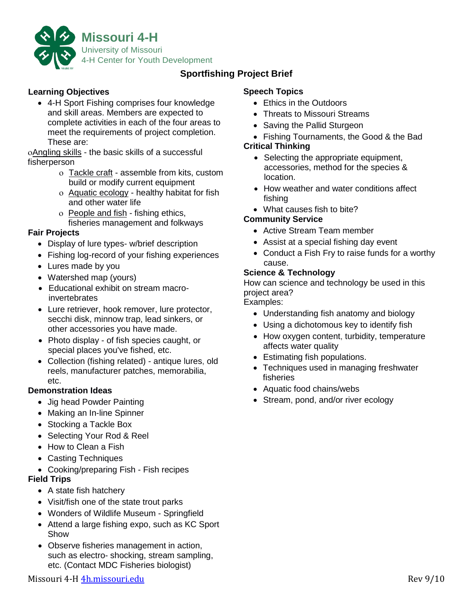

# **Sportfishing Project Brief**

## **Learning Objectives**

• 4-H Sport Fishing comprises four knowledge and skill areas. Members are expected to complete activities in each of the four areas to meet the requirements of project completion. These are:

oAngling skills - the basic skills of a successful fisherperson

- o Tackle craft assemble from kits, custom build or modify current equipment
- ο Aquatic ecology healthy habitat for fish and other water life
- o People and fish fishing ethics, fisheries management and folkways

## **Fair Projects**

- Display of lure types- w/brief description
- Fishing log-record of your fishing experiences
- Lures made by you
- Watershed map (yours)
- Educational exhibit on stream macroinvertebrates
- Lure retriever, hook remover, lure protector, secchi disk, minnow trap, lead sinkers, or other accessories you have made.
- Photo display of fish species caught, or special places you've fished, etc.
- Collection (fishing related) antique lures, old reels, manufacturer patches, memorabilia, etc.

### **Demonstration Ideas**

- Jig head Powder Painting
- Making an In-line Spinner
- Stocking a Tackle Box
- Selecting Your Rod & Reel
- How to Clean a Fish
- Casting Techniques
- Cooking/preparing Fish Fish recipes

### **Field Trips**

- A state fish hatchery
- Visit/fish one of the state trout parks
- Wonders of Wildlife Museum Springfield
- Attend a large fishing expo, such as KC Sport Show
- Observe fisheries management in action, such as electro- shocking, stream sampling, etc. (Contact MDC Fisheries biologist)

## **Speech Topics**

- Ethics in the Outdoors
- Threats to Missouri Streams
- Saving the Pallid Sturgeon
- Fishing Tournaments, the Good & the Bad **Critical Thinking** 
	- Selecting the appropriate equipment, accessories, method for the species & location.
	- How weather and water conditions affect fishing
	- What causes fish to bite?

### **Community Service**

- Active Stream Team member
- Assist at a special fishing day event
- Conduct a Fish Fry to raise funds for a worthy cause.

#### **Science & Technology**

How can science and technology be used in this project area?

Examples:

- Understanding fish anatomy and biology
- Using a dichotomous key to identify fish
- How oxygen content, turbidity, temperature affects water quality
- Estimating fish populations.
- Techniques used in managing freshwater fisheries
- Aquatic food chains/webs
- Stream, pond, and/or river ecology